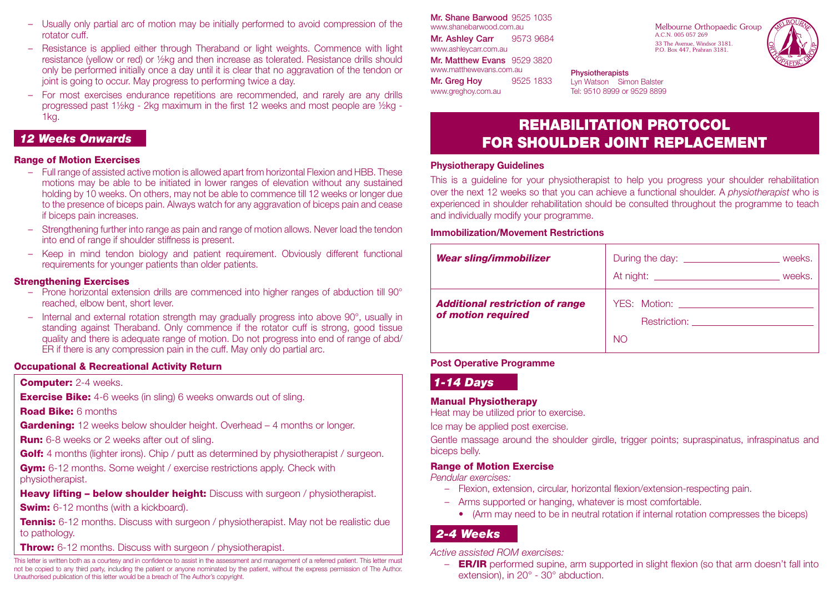- Usually only partial arc of motion may be initially performed to avoid compression of the rotator cuff.
- Resistance is applied either through Theraband or light weights. Commence with light resistance (yellow or red) or ½kg and then increase as tolerated. Resistance drills should only be performed initially once a day until it is clear that no aggravation of the tendon or joint is going to occur. May progress to performing twice a day.
- For most exercises endurance repetitions are recommended, and rarely are any drills progressed past 1½kg - 2kg maximum in the first 12 weeks and most people are ½kg - 1kg.

### *12 Weeks Onwards*

### Range of Motion Exercises

- Full range of assisted active motion is allowed apart from horizontal Flexion and HBB. These motions may be able to be initiated in lower ranges of elevation without any sustained holding by 10 weeks. On others, may not be able to commence till 12 weeks or longer due to the presence of biceps pain. Always watch for any aggravation of biceps pain and cease if biceps pain increases.
- Strengthening further into range as pain and range of motion allows. Never load the tendon into end of range if shoulder stiffness is present.
- Keep in mind tendon biology and patient requirement. Obviously different functional requirements for younger patients than older patients.

### Strengthening Exercises

- Prone horizontal extension drills are commenced into higher ranges of abduction till 90° reached, elbow bent, short lever.
- Internal and external rotation strength may gradually progress into above 90°, usually in standing against Theraband. Only commence if the rotator cuff is strong, good tissue quality and there is adequate range of motion. Do not progress into end of range of abd/ ER if there is any compression pain in the cuff. May only do partial arc.

### Occupational & Recreational Activity Return

#### **Computer: 2-4 weeks.**

**Exercise Bike:** 4-6 weeks (in sling) 6 weeks onwards out of sling.

#### Road Bike: 6 months

**Gardening:** 12 weeks below shoulder height. Overhead – 4 months or longer.

**Run:** 6-8 weeks or 2 weeks after out of sling.

Golf: 4 months (lighter irons). Chip / putt as determined by physiotherapist / surgeon.

**Gym:** 6-12 months. Some weight / exercise restrictions apply. Check with physiotherapist.

**Heavy lifting – below shoulder height:** Discuss with surgeon / physiotherapist.

**Swim:** 6-12 months (with a kickboard).

**Tennis:** 6-12 months. Discuss with surgeon / physiotherapist. May not be realistic due to pathology.

**Throw:** 6-12 months. Discuss with surgeon / physiotherapist.

This letter is written both as a courtesy and in confidence to assist in the assessment and management of a referred patient. This letter must not be copied to any third party, including the patient or anyone nominated by the patient, without the express permission of The Author. Unauthorised publication of this letter would be a breach of The Author's copyright.

Mr. Shane Barwood 9525 1035 www.shanebarwood.com.au Mr. Ashley Carr 9573 9684 www.ashleycarr.com.au Mr. Matthew Evans 9529 3820 www.matthewevans.com.au **Mr. Greg Hov 9525 1833** www.greghoy.com.au

Melbourne Orthopaedic Group A.C.N. 005 057 269 33 The Avenue, Windsor 3181. P.O. Box 447, Prahran 3181.



### **Physiotherapists**

Lyn Watson Simon Balster Tel: 9510 8999 or 9529 8899

# REHABILITATION PROTOCOL FOR SHOULDER JOINT REPLACEMENT

### **Physiotherapy Guidelines**

This is a guideline for your physiotherapist to help you progress your shoulder rehabilitation over the next 12 weeks so that you can achieve a functional shoulder. A *physiotherapist* who is experienced in shoulder rehabilitation should be consulted throughout the programme to teach and individually modify your programme.

### **Immobilization/Movement Restrictions**

| Wear sling/immobilizer                                       | weeks.                                                                            |
|--------------------------------------------------------------|-----------------------------------------------------------------------------------|
| <b>Additional restriction of range</b><br>of motion required | YES: Motion: ___________________<br>Restriction: <b>Example 2014</b><br><b>NO</b> |

### **Post Operative Programme**

### *1-14 Days*

#### Manual Physiotherapy

Heat may be utilized prior to exercise.

Ice may be applied post exercise.

Gentle massage around the shoulder girdle, trigger points; supraspinatus, infraspinatus and biceps belly.

### Range of Motion Exercise

*Pendular exercises:*

- Flexion, extension, circular, horizontal flexion/extension-respecting pain.
- Arms supported or hanging, whatever is most comfortable.
	- (Arm may need to be in neutral rotation if internal rotation compresses the biceps)

### *2-4 Weeks*

*Active assisted ROM exercises:*

– **ER/IR** performed supine, arm supported in slight flexion (so that arm doesn't fall into extension), in 20° - 30° abduction.